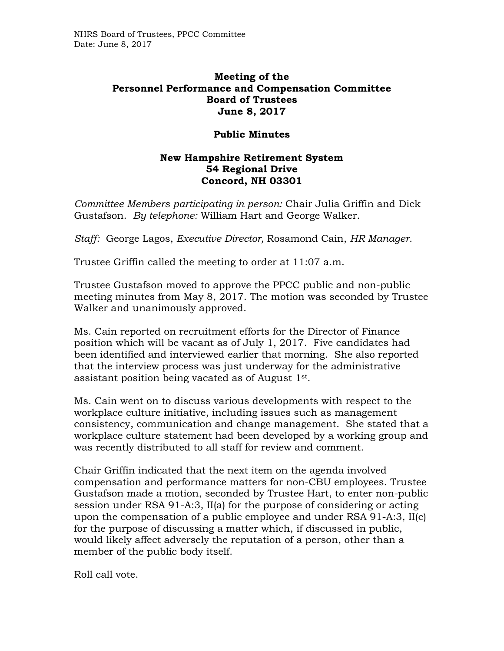## **Meeting of the Personnel Performance and Compensation Committee Board of Trustees June 8, 2017**

## **Public Minutes**

## **New Hampshire Retirement System 54 Regional Drive Concord, NH 03301**

*Committee Members participating in person:* Chair Julia Griffin and Dick Gustafson. *By telephone:* William Hart and George Walker.

*Staff:* George Lagos, *Executive Director,* Rosamond Cain, *HR Manager.* 

Trustee Griffin called the meeting to order at 11:07 a.m.

Trustee Gustafson moved to approve the PPCC public and non-public meeting minutes from May 8, 2017. The motion was seconded by Trustee Walker and unanimously approved.

Ms. Cain reported on recruitment efforts for the Director of Finance position which will be vacant as of July 1, 2017. Five candidates had been identified and interviewed earlier that morning. She also reported that the interview process was just underway for the administrative assistant position being vacated as of August 1st .

Ms. Cain went on to discuss various developments with respect to the workplace culture initiative, including issues such as management consistency, communication and change management. She stated that a workplace culture statement had been developed by a working group and was recently distributed to all staff for review and comment.

Chair Griffin indicated that the next item on the agenda involved compensation and performance matters for non-CBU employees. Trustee Gustafson made a motion, seconded by Trustee Hart, to enter non-public session under RSA 91-A:3, II(a) for the purpose of considering or acting upon the compensation of a public employee and under RSA 91-A:3, II(c) for the purpose of discussing a matter which, if discussed in public, would likely affect adversely the reputation of a person, other than a member of the public body itself.

Roll call vote.